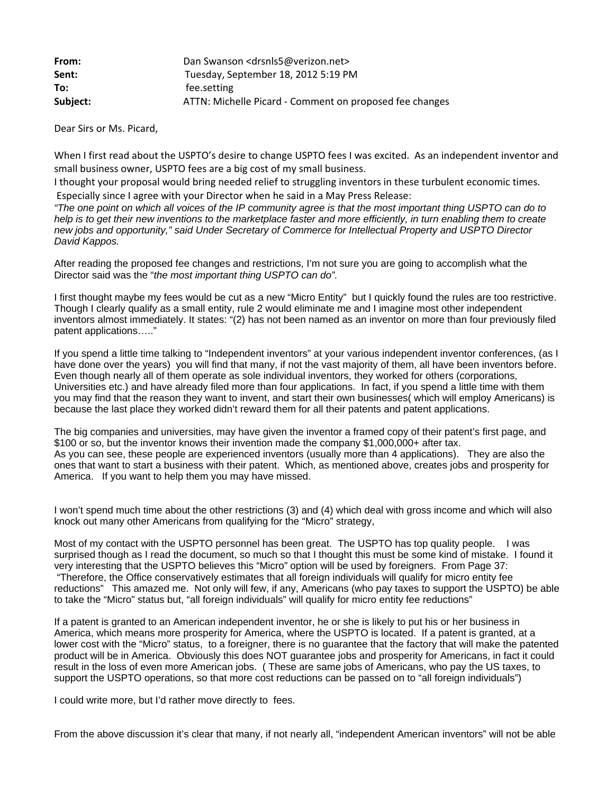| From:    | Dan Swanson <drsnls5@verizon.net></drsnls5@verizon.net> |
|----------|---------------------------------------------------------|
| Sent:    | Tuesday, September 18, 2012 5:19 PM                     |
| To:      | fee.setting                                             |
| Subject: | ATTN: Michelle Picard - Comment on proposed fee changes |

Dear Sirs or Ms. Picard,

When I first read about the USPTO's desire to change USPTO fees I was excited. As an independent inventor and small business owner, USPTO fees are a big cost of my small business.

I thought your proposal would bring needed relief to struggling inventors in these turbulent economic times. Especially since I agree with your Director when he said in a May Press Release:

*"The one point on which all voices of the IP community agree is that the most important thing USPTO can do to help is to get their new inventions to the marketplace faster and more efficiently, in turn enabling them to create new jobs and opportunity," said Under Secretary of Commerce for Intellectual Property and USPTO Director David Kappos.*

After reading the proposed fee changes and restrictions, I'm not sure you are going to accomplish what the Director said was the "*the most important thing USPTO can do".*

I first thought maybe my fees would be cut as a new "Micro Entity" but I quickly found the rules are too restrictive. Though I clearly qualify as a small entity, rule 2 would eliminate me and I imagine most other independent inventors almost immediately. It states: "(2) has not been named as an inventor on more than four previously filed patent applications….."

If you spend a little time talking to "Independent inventors" at your various independent inventor conferences, (as I have done over the years) you will find that many, if not the vast majority of them, all have been inventors before. Even though nearly all of them operate as sole individual inventors, they worked for others (corporations, Universities etc.) and have already filed more than four applications. In fact, if you spend a little time with them you may find that the reason they want to invent, and start their own businesses( which will employ Americans) is because the last place they worked didn't reward them for all their patents and patent applications.

The big companies and universities, may have given the inventor a framed copy of their patent's first page, and \$100 or so, but the inventor knows their invention made the company \$1,000,000+ after tax. As you can see, these people are experienced inventors (usually more than 4 applications). They are also the ones that want to start a business with their patent. Which, as mentioned above, creates jobs and prosperity for America. If you want to help them you may have missed.

I won't spend much time about the other restrictions (3) and (4) which deal with gross income and which will also knock out many other Americans from qualifying for the "Micro" strategy,

Most of my contact with the USPTO personnel has been great. The USPTO has top quality people. I was surprised though as I read the document, so much so that I thought this must be some kind of mistake. I found it very interesting that the USPTO believes this "Micro" option will be used by foreigners. From Page 37: "Therefore, the Office conservatively estimates that all foreign individuals will qualify for micro entity fee reductions" This amazed me. Not only will few, if any, Americans (who pay taxes to support the USPTO) be able to take the "Micro" status but, "all foreign individuals" will qualify for micro entity fee reductions"

If a patent is granted to an American independent inventor, he or she is likely to put his or her business in America, which means more prosperity for America, where the USPTO is located. If a patent is granted, at a lower cost with the "Micro" status, to a foreigner, there is no guarantee that the factory that will make the patented product will be in America. Obviously this does NOT guarantee jobs and prosperity for Americans, in fact it could result in the loss of even more American jobs. ( These are same jobs of Americans, who pay the US taxes, to support the USPTO operations, so that more cost reductions can be passed on to "all foreign individuals")

I could write more, but I'd rather move directly to fees.

From the above discussion it's clear that many, if not nearly all, "independent American inventors" will not be able